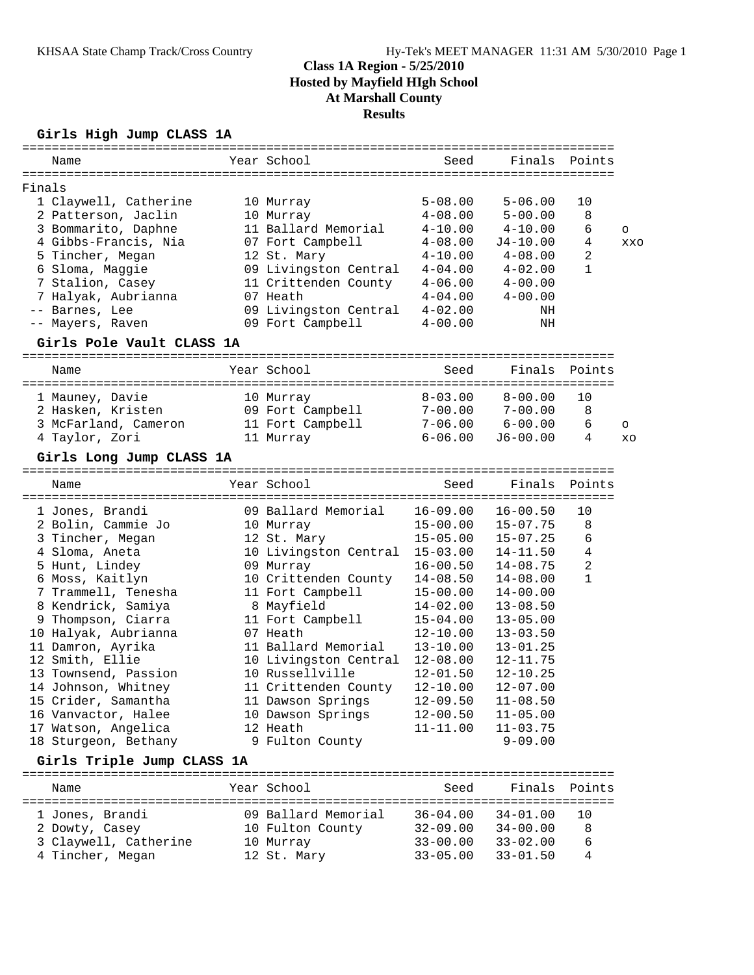# **Girls High Jump CLASS 1A**

| Name   |                                             | Year School                              | Seed                         |                              | Finals Points |            |
|--------|---------------------------------------------|------------------------------------------|------------------------------|------------------------------|---------------|------------|
|        |                                             |                                          |                              |                              |               |            |
| Finals |                                             |                                          |                              |                              |               |            |
|        | 1 Claywell, Catherine                       | 10 Murray                                | $5 - 08.00$                  | $5 - 06.00$                  | 10            |            |
|        | 2 Patterson, Jaclin                         | 10 Murray                                | $4 - 08.00$                  | $5 - 00.00$                  | 8             |            |
|        | 3 Bommarito, Daphne                         | 11 Ballard Memorial                      | $4 - 10.00$                  | $4 - 10.00$                  | 6             | $\circ$    |
|        | 4 Gibbs-Francis, Nia                        | 07 Fort Campbell                         | $4 - 08.00$                  | $J4-10.00$                   | 4             | <b>XXO</b> |
|        | 5 Tincher, Megan                            | 12 St. Mary                              | $4 - 10.00$                  | $4 - 08.00$                  | 2             |            |
|        | 6 Sloma, Maggie                             | 09 Livingston Central                    | $4 - 04.00$                  | $4 - 02.00$                  | 1             |            |
|        | 7 Stalion, Casey                            | 11 Crittenden County                     | $4 - 06.00$                  | $4 - 00.00$                  |               |            |
|        | 7 Halyak, Aubrianna                         | 07 Heath                                 | $4 - 04.00$                  | $4 - 00.00$                  |               |            |
|        | -- Barnes, Lee                              | 09 Livingston Central                    | $4 - 02.00$                  | ΝH                           |               |            |
|        | -- Mayers, Raven                            | 09 Fort Campbell                         | $4 - 00.00$                  | ΝH                           |               |            |
|        | Girls Pole Vault CLASS 1A                   |                                          |                              |                              |               |            |
| Name   |                                             | Year School                              | Seed                         | Finals                       | Points        |            |
|        |                                             |                                          |                              |                              |               |            |
|        | 1 Mauney, Davie                             | 10 Murray                                | $8 - 03.00$                  | $8 - 00.00$                  | 10            |            |
|        | 2 Hasken, Kristen                           | 09 Fort Campbell                         | $7 - 00.00$                  | $7 - 00.00$                  | 8             |            |
|        | 3 McFarland, Cameron                        | 11 Fort Campbell                         | $7 - 06.00$                  | $6 - 00.00$                  | 6             | $\circ$    |
|        | 4 Taylor, Zori                              | 11 Murray                                | $6 - 06.00$                  | $J6 - 00.00$                 | 4             | XO         |
|        | Girls Long Jump CLASS 1A                    |                                          |                              |                              |               |            |
| Name   |                                             | Year School                              | Seed                         | Finals                       | Points        |            |
|        |                                             |                                          |                              |                              |               |            |
|        | 1 Jones, Brandi                             | 09 Ballard Memorial                      | $16 - 09.00$                 | $16 - 00.50$                 | 10            |            |
|        | 2 Bolin, Cammie Jo                          | 10 Murray                                | $15 - 00.00$                 | $15 - 07.75$                 | 8             |            |
|        | 3 Tincher, Megan                            | 12 St. Mary                              | $15 - 05.00$                 | $15 - 07.25$                 | 6             |            |
|        | 4 Sloma, Aneta                              | 10 Livingston Central 15-03.00           |                              | $14 - 11.50$                 | 4             |            |
|        | 5 Hunt, Lindey                              | 09 Murray                                | $16 - 00.50$                 | $14 - 08.75$                 | 2             |            |
|        | 6 Moss, Kaitlyn                             | 10 Crittenden County                     | $14 - 08.50$                 | $14 - 08.00$                 | $\mathbf{1}$  |            |
|        | 7 Trammell, Tenesha                         | 11 Fort Campbell                         | $15 - 00.00$                 | $14 - 00.00$                 |               |            |
|        | 8 Kendrick, Samiya                          | 8 Mayfield                               | $14 - 02.00$                 | $13 - 08.50$                 |               |            |
|        | 9 Thompson, Ciarra                          | 11 Fort Campbell                         | $15 - 04.00$                 | $13 - 05.00$                 |               |            |
|        | 10 Halyak, Aubrianna                        | 07 Heath<br>11 Ballard Memorial          | $12 - 10.00$                 | $13 - 03.50$<br>$13 - 01.25$ |               |            |
|        | 11 Damron, Ayrika                           |                                          | $13 - 10.00$<br>$12 - 08.00$ | $12 - 11.75$                 |               |            |
|        | 12 Smith, Ellie                             | 10 Livingston Central<br>10 Russellville | $12 - 01.50$                 | $12 - 10.25$                 |               |            |
|        | 13 Townsend, Passion<br>14 Johnson, Whitney | 11 Crittenden County                     | $12 - 10.00$                 | $12 - 07.00$                 |               |            |
|        | 15 Crider, Samantha                         |                                          | $12 - 09.50$                 | $11 - 08.50$                 |               |            |
|        | 16 Vanvactor, Halee                         | 11 Dawson Springs                        | $12 - 00.50$                 | $11 - 05.00$                 |               |            |
|        | 17 Watson, Angelica                         | 10 Dawson Springs<br>12 Heath            | 11-11.00                     | $11 - 03.75$                 |               |            |
|        | 18 Sturgeon, Bethany                        | 9 Fulton County                          |                              | $9 - 09.00$                  |               |            |
|        | Girls Triple Jump CLASS 1A                  |                                          |                              |                              |               |            |
|        |                                             |                                          |                              |                              |               |            |
| Name   |                                             | Year School                              | Seed                         | Finals                       | Points        |            |
|        | 1 Jones, Brandi                             | 09 Ballard Memorial                      | $36 - 04.00$                 | $34 - 01.00$                 | 10            |            |
|        | 2 Dowty, Casey                              | 10 Fulton County                         | $32 - 09.00$                 | $34 - 00.00$                 | 8             |            |
|        | 3 Claywell, Catherine                       | 10 Murray                                | $33 - 00.00$                 | $33 - 02.00$                 | 6             |            |
|        | 4 Tincher, Megan                            | 12 St. Mary                              | $33 - 05.00$                 | $33 - 01.50$                 | 4             |            |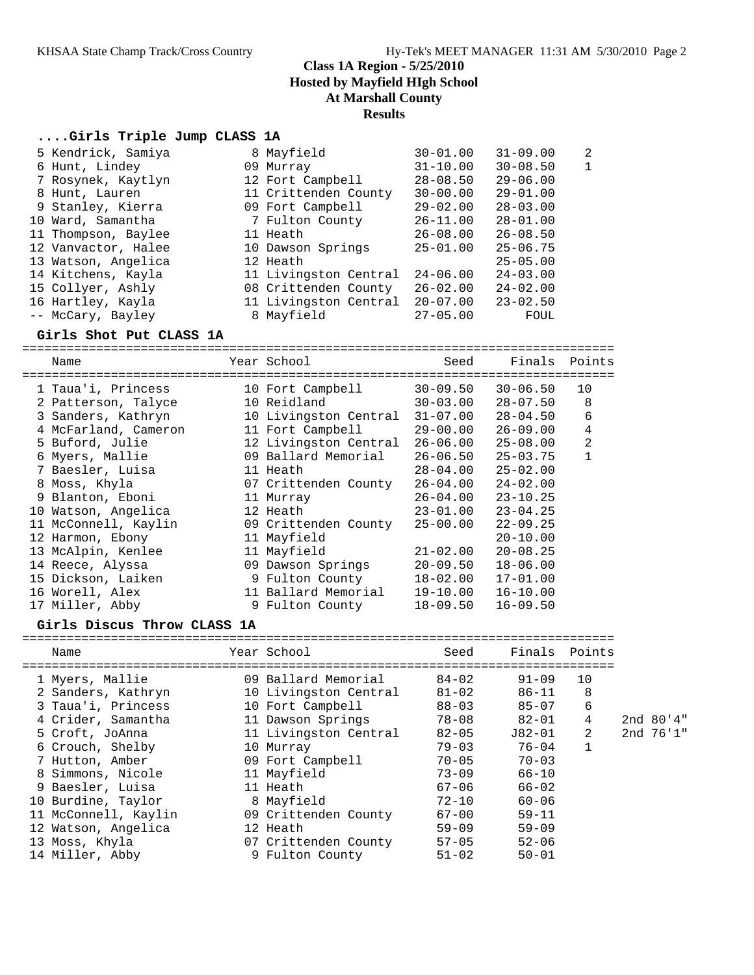## **....Girls Triple Jump CLASS 1A**

| 5 Kendrick, Samiya  | 8 Mayfield            | $30 - 01.00$ | $31 - 09.00$ | $\overline{2}$ |
|---------------------|-----------------------|--------------|--------------|----------------|
| 6 Hunt, Lindey      | 09 Murray             | $31 - 10.00$ | $30 - 08.50$ | 1              |
| 7 Rosynek, Kaytlyn  | 12 Fort Campbell      | $28 - 08.50$ | $29 - 06.00$ |                |
| 8 Hunt, Lauren      | 11 Crittenden County  | $30 - 00.00$ | $29 - 01.00$ |                |
| 9 Stanley, Kierra   | 09 Fort Campbell      | $29 - 02.00$ | $28 - 03.00$ |                |
| 10 Ward, Samantha   | 7 Fulton County       | $26 - 11.00$ | $28 - 01.00$ |                |
| 11 Thompson, Baylee | 11 Heath              | $26 - 08.00$ | $26 - 08.50$ |                |
| 12 Vanvactor, Halee | 10 Dawson Springs     | $25 - 01.00$ | $25 - 06.75$ |                |
| 13 Watson, Angelica | 12 Heath              |              | $25 - 05.00$ |                |
| 14 Kitchens, Kayla  | 11 Livingston Central | $24 - 06.00$ | $24 - 03.00$ |                |
| 15 Collyer, Ashly   | 08 Crittenden County  | $26 - 02.00$ | $24 - 02.00$ |                |
| 16 Hartley, Kayla   | 11 Livingston Central | $20 - 07.00$ | $23 - 02.50$ |                |
| -- McCary, Bayley   | 8 Mayfield            | $27 - 05.00$ | FOUL         |                |
|                     |                       |              |              |                |

### **Girls Shot Put CLASS 1A**

================================================================================ Name The Year School Seed Finals Points ================================================================================ 1 Taua'i, Princess 10 Fort Campbell 30-09.50 30-06.50 10 2 Patterson, Talyce 10 Reidland 30-03.00 28-07.50 8 3 Sanders, Kathryn 10 Livingston Central 31-07.00 28-04.50 6 4 McFarland, Cameron 11 Fort Campbell 29-00.00 26-09.00 4 5 Buford, Julie 12 Livingston Central 26-06.00 25-08.00 2 6 Myers, Mallie 09 Ballard Memorial 26-06.50 25-03.75 1 7 Baesler, Luisa 11 Heath 28-04.00 25-02.00 8 Moss, Khyla 07 Crittenden County 26-04.00 24-02.00 9 Blanton, Eboni 11 Murray 26-04.00 23-10.25 10 Watson, Angelica 12 Heath 23-01.00 23-04.25 11 McConnell, Kaylin 09 Crittenden County 25-00.00 22-09.25 12 Harmon, Ebony 11 Mayfield 20-10.00 13 McAlpin, Kenlee 11 Mayfield 21-02.00 20-08.25 14 Reece, Alyssa 09 Dawson Springs 20-09.50 18-06.00 15 Dickson, Laiken 9 Fulton County 18-02.00 17-01.00 16 Worell, Alex 11 Ballard Memorial 19-10.00 16-10.00 17 Miller, Abby 9 Fulton County 18-09.50 16-09.50

### **Girls Discus Throw CLASS 1A**

================================================================================ Name Year School Seed Finals Points ================================================================================ 1 Myers, Mallie 09 Ballard Memorial 84-02 91-09 10 2 Sanders, Kathryn 10 Livingston Central 81-02 86-11 8 3 Taua'i, Princess 10 Fort Campbell 88-03 85-07 6 4 Crider, Samantha 11 Dawson Springs 78-08 82-01 4 2nd 80'4" 5 Croft, JoAnna 11 Livingston Central 82-05 J82-01 2 2nd 76'1" 6 Crouch, Shelby 10 Murray 79-03 76-04 1 7 Hutton, Amber 09 Fort Campbell 70-05 70-03 8 Simmons, Nicole 11 Mayfield 73-09 66-10 9 Baesler, Luisa 11 Heath 67-06 66-02 10 Burdine, Taylor 8 Mayfield 72-10 60-06 11 McConnell, Kaylin 09 Crittenden County 67-00 59-11 12 Watson, Angelica 12 Heath 59-09 59-09 13 Moss, Khyla 07 Crittenden County 57-05 52-06 14 Miller, Abby 9 Fulton County 51-02 50-01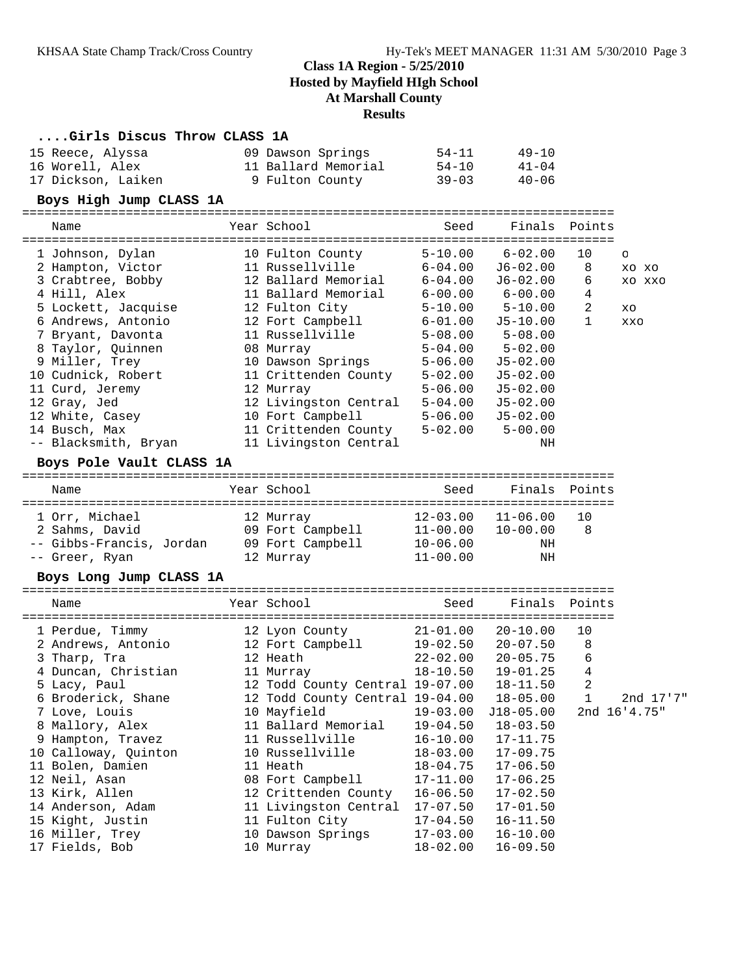## **....Girls Discus Throw CLASS 1A**

| 15 Reece, Alyssa   | 09 Dawson Springs   | 54-11     | $49 - 10$ |
|--------------------|---------------------|-----------|-----------|
| 16 Worell, Alex    | 11 Ballard Memorial | 54-10     | $41 - 04$ |
| 17 Dickson, Laiken | 9 Fulton County     | $39 - 03$ | $40 - 06$ |

## **Boys High Jump CLASS 1A**

================================================================================

| Name                                                                                                                                                                                                | Year School                                                                                                                                                                                              | Seed                                                                                                                                | Finals Points                                                                                                                               |                                     |                                   |
|-----------------------------------------------------------------------------------------------------------------------------------------------------------------------------------------------------|----------------------------------------------------------------------------------------------------------------------------------------------------------------------------------------------------------|-------------------------------------------------------------------------------------------------------------------------------------|---------------------------------------------------------------------------------------------------------------------------------------------|-------------------------------------|-----------------------------------|
| 1 Johnson, Dylan<br>2 Hampton, Victor<br>3 Crabtree, Bobby<br>4 Hill, Alex<br>5 Lockett, Jacquise                                                                                                   | 10 Fulton County<br>11 Russellville<br>12 Ballard Memorial<br>11 Ballard Memorial<br>12 Fulton City                                                                                                      | $5 - 10.00$<br>6-04.00<br>$6 - 04.00$<br>$6 - 00.00$<br>$5 - 10.00$                                                                 | $6 - 02.00$<br>J6-02.00<br>J6-02.00<br>$6 - 00.00$<br>$5 - 10.00$                                                                           | 10 <sup>°</sup><br>8<br>6<br>4<br>2 | $\Omega$<br>XO XO<br>XO XXO<br>XO |
| 6 Andrews, Antonio<br>7 Bryant, Davonta<br>8 Taylor, Ouinnen<br>9 Miller, Trey<br>10 Cudnick, Robert<br>11 Curd, Jeremy<br>12 Gray, Jed<br>12 White, Casey<br>14 Busch, Max<br>-- Blacksmith, Bryan | 12 Fort Campbell<br>11 Russellville<br>08 Murray<br>10 Dawson Springs<br>11 Crittenden County<br>12 Murray<br>12 Livingston Central<br>10 Fort Campbell<br>11 Crittenden County<br>11 Livingston Central | $6 - 01.00$<br>$5 - 08.00$<br>$5 - 04.00$<br>$5 - 06.00$<br>$5 - 02.00$<br>$5 - 06.00$<br>$5 - 04.00$<br>$5 - 06.00$<br>$5 - 02.00$ | J5-10.00<br>$5 - 08.00$<br>$5 - 02.00$<br>$J5 - 02.00$<br>$J5 - 02.00$<br>$J5 - 02.00$<br>$J5 - 02.00$<br>$J5 - 02.00$<br>$5 - 00.00$<br>ΝH | $\mathbf{1}$                        | XXO                               |

## **Boys Pole Vault CLASS 1A**

| Name                             | Year School                   | Seed                         | Finals Points                |         |
|----------------------------------|-------------------------------|------------------------------|------------------------------|---------|
| 1 Orr, Michael<br>2 Sahms, David | 12 Murray<br>09 Fort Campbell | $12 - 03.00$<br>$11 - 00.00$ | $11 - 06.00$<br>$10 - 00.00$ | 10<br>8 |
| -- Gibbs-Francis, Jordan         | 09 Fort Campbell              | $10 - 06.00$                 | ΝH                           |         |
| -- Greer, Ryan                   | 12 Murray                     | $11 - 00.00$                 | ΝH                           |         |

## **Boys Long Jump CLASS 1A**

| Name |                                                                                                                                                                                                                             |                     |                                                                                                                                                                                                                                                                                                                                                                                                                                                                                           |                      |                                                                                                                                                                                                                                                          |                                                                                                                                                                                                 |
|------|-----------------------------------------------------------------------------------------------------------------------------------------------------------------------------------------------------------------------------|---------------------|-------------------------------------------------------------------------------------------------------------------------------------------------------------------------------------------------------------------------------------------------------------------------------------------------------------------------------------------------------------------------------------------------------------------------------------------------------------------------------------------|----------------------|----------------------------------------------------------------------------------------------------------------------------------------------------------------------------------------------------------------------------------------------------------|-------------------------------------------------------------------------------------------------------------------------------------------------------------------------------------------------|
|      |                                                                                                                                                                                                                             |                     |                                                                                                                                                                                                                                                                                                                                                                                                                                                                                           | 20-10.00             | 10                                                                                                                                                                                                                                                       |                                                                                                                                                                                                 |
|      |                                                                                                                                                                                                                             |                     |                                                                                                                                                                                                                                                                                                                                                                                                                                                                                           |                      | 8                                                                                                                                                                                                                                                        |                                                                                                                                                                                                 |
|      |                                                                                                                                                                                                                             |                     |                                                                                                                                                                                                                                                                                                                                                                                                                                                                                           |                      | 6                                                                                                                                                                                                                                                        |                                                                                                                                                                                                 |
|      |                                                                                                                                                                                                                             |                     |                                                                                                                                                                                                                                                                                                                                                                                                                                                                                           |                      | 4                                                                                                                                                                                                                                                        |                                                                                                                                                                                                 |
|      |                                                                                                                                                                                                                             |                     |                                                                                                                                                                                                                                                                                                                                                                                                                                                                                           |                      | $\overline{2}$                                                                                                                                                                                                                                           |                                                                                                                                                                                                 |
|      |                                                                                                                                                                                                                             |                     |                                                                                                                                                                                                                                                                                                                                                                                                                                                                                           |                      |                                                                                                                                                                                                                                                          | 2nd 17'7"                                                                                                                                                                                       |
|      |                                                                                                                                                                                                                             |                     |                                                                                                                                                                                                                                                                                                                                                                                                                                                                                           |                      |                                                                                                                                                                                                                                                          | 2nd 16'4.75"                                                                                                                                                                                    |
|      |                                                                                                                                                                                                                             |                     |                                                                                                                                                                                                                                                                                                                                                                                                                                                                                           |                      |                                                                                                                                                                                                                                                          |                                                                                                                                                                                                 |
|      |                                                                                                                                                                                                                             |                     |                                                                                                                                                                                                                                                                                                                                                                                                                                                                                           |                      |                                                                                                                                                                                                                                                          |                                                                                                                                                                                                 |
|      |                                                                                                                                                                                                                             |                     |                                                                                                                                                                                                                                                                                                                                                                                                                                                                                           |                      |                                                                                                                                                                                                                                                          |                                                                                                                                                                                                 |
|      |                                                                                                                                                                                                                             |                     |                                                                                                                                                                                                                                                                                                                                                                                                                                                                                           |                      |                                                                                                                                                                                                                                                          |                                                                                                                                                                                                 |
|      |                                                                                                                                                                                                                             |                     |                                                                                                                                                                                                                                                                                                                                                                                                                                                                                           |                      |                                                                                                                                                                                                                                                          |                                                                                                                                                                                                 |
|      |                                                                                                                                                                                                                             |                     |                                                                                                                                                                                                                                                                                                                                                                                                                                                                                           |                      |                                                                                                                                                                                                                                                          |                                                                                                                                                                                                 |
|      |                                                                                                                                                                                                                             |                     | 17-07.50                                                                                                                                                                                                                                                                                                                                                                                                                                                                                  |                      |                                                                                                                                                                                                                                                          |                                                                                                                                                                                                 |
|      |                                                                                                                                                                                                                             |                     |                                                                                                                                                                                                                                                                                                                                                                                                                                                                                           |                      |                                                                                                                                                                                                                                                          |                                                                                                                                                                                                 |
|      |                                                                                                                                                                                                                             |                     |                                                                                                                                                                                                                                                                                                                                                                                                                                                                                           |                      |                                                                                                                                                                                                                                                          |                                                                                                                                                                                                 |
|      |                                                                                                                                                                                                                             |                     |                                                                                                                                                                                                                                                                                                                                                                                                                                                                                           |                      |                                                                                                                                                                                                                                                          |                                                                                                                                                                                                 |
|      | 1 Perdue, Timmy<br>3 Tharp, Tra<br>5 Lacy, Paul<br>6 Broderick, Shane<br>7 Love, Louis<br>11 Bolen, Damien<br>12 Neil, Asan<br>13 Kirk, Allen<br>14 Anderson, Adam<br>15 Kight, Justin<br>16 Miller, Trey<br>17 Fields, Bob | 4 Duncan, Christian | Year School<br>12 Lyon County<br>2 Andrews, Antonio               12 Fort Campbell<br>12 Heath Dealers and the season of the season of the season of the season of the season of the season of the s<br>11 Murray<br>10 Mayfield<br>8 Mallory, Alex 11 Ballard Memorial<br>9 Hampton, Travez 11 Russellville<br>10 Calloway, Quinton 10 Russellville<br>11 Heath<br>08 Fort Campbell<br>12 Crittenden County<br>11 Livingston Central<br>11 Fulton City<br>10 Dawson Springs<br>10 Murray | 19-03.00<br>19-04.50 | 21-01.00<br>$18 - 03.50$<br>16-10.00 17-11.75<br>$18 - 03.00$ $17 - 09.75$<br>$18 - 04.75$ $17 - 06.50$<br>17-11.00 17-06.25<br>$16 - 06.50$ $17 - 02.50$<br>$17 - 01.50$<br>$17-04.50$ $16-11.50$<br>$17-03.00$ $16-10.00$<br>$18 - 02.00$ $16 - 09.50$ | Seed Finals Points<br>19-02.50 20-07.50<br>22-02.00 20-05.75<br>$18 - 10.50$ $19 - 01.25$<br>12 Todd County Central 19-07.00  18-11.50<br>12 Todd County Central 19-04.00 18-05.00<br>J18-05.00 |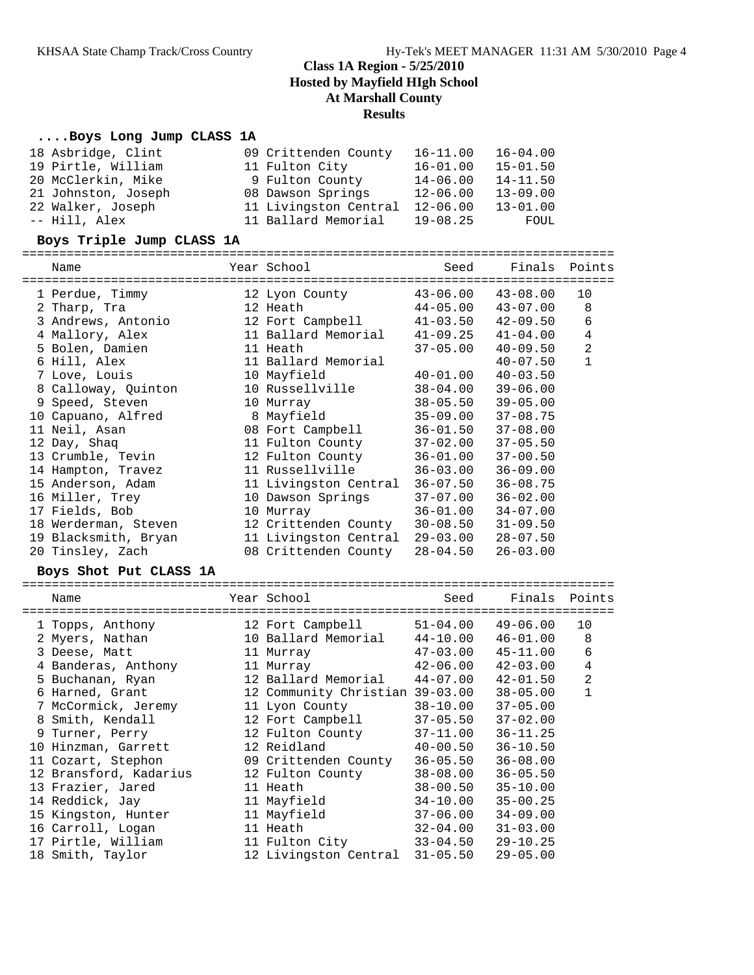## **....Boys Long Jump CLASS 1A**

| 18 Asbridge, Clint  | 09 Crittenden County  | $16 - 11.00$ | $16 - 04.00$ |
|---------------------|-----------------------|--------------|--------------|
| 19 Pirtle, William  | 11 Fulton City        | $16 - 01.00$ | $15 - 01.50$ |
| 20 McClerkin, Mike  | 9 Fulton County       | $14 - 06.00$ | $14 - 11.50$ |
| 21 Johnston, Joseph | 08 Dawson Springs     | $12 - 06.00$ | $13 - 09.00$ |
| 22 Walker, Joseph   | 11 Livingston Central | $12 - 06.00$ | $13 - 01.00$ |
| -- Hill, Alex       | 11 Ballard Memorial   | $19 - 08.25$ | FOUL         |

#### **Boys Triple Jump CLASS 1A**

================================================================================

| Name                 | Year School           | Seed                      | Finals       | Points         |
|----------------------|-----------------------|---------------------------|--------------|----------------|
| 1 Perdue, Timmy      | 12 Lyon County        | 43-06.00                  | $43 - 08.00$ | 10             |
| 2 Tharp, Tra         | 12 Heath              | $44 - 05.00$              | $43 - 07.00$ | 8              |
| 3 Andrews, Antonio   | 12 Fort Campbell      | $41 - 03.50$ $42 - 09.50$ |              | 6              |
| 4 Mallory, Alex      | 11 Ballard Memorial   | $41 - 09.25$              | $41 - 04.00$ | $\overline{4}$ |
| 5 Bolen, Damien      | 11 Heath              | $37 - 05.00$              | $40 - 09.50$ | $\mathbf{2}$   |
| 6 Hill, Alex         | 11 Ballard Memorial   |                           | $40 - 07.50$ | 1              |
| 7 Love, Louis        | 10 Mayfield           | $40 - 01.00$              | $40 - 03.50$ |                |
| 8 Calloway, Quinton  | 10 Russellville       | 38-04.00                  | $39 - 06.00$ |                |
| 9 Speed, Steven      | 10 Murray             | 38-05.50                  | $39 - 05.00$ |                |
| 10 Capuano, Alfred   | 8 Mayfield            | $35 - 09.00$              | $37 - 08.75$ |                |
| 11 Neil, Asan        | 08 Fort Campbell      | $36 - 01.50$              | $37 - 08.00$ |                |
| 12 Day, Shaq         | 11 Fulton County      | 37-02.00                  | $37 - 05.50$ |                |
| 13 Crumble, Tevin    | 12 Fulton County      | $36 - 01.00$              | $37 - 00.50$ |                |
| 14 Hampton, Travez   | 11 Russellville       | 36-03.00                  | $36 - 09.00$ |                |
| 15 Anderson, Adam    | 11 Livingston Central | $36 - 07.50$              | $36 - 08.75$ |                |
| 16 Miller, Trey      | 10 Dawson Springs     | $37 - 07.00$              | $36 - 02.00$ |                |
| 17 Fields, Bob       | 10 Murray             | $36 - 01.00$              | $34 - 07.00$ |                |
| 18 Werderman, Steven | 12 Crittenden County  | $30 - 08.50$              | $31 - 09.50$ |                |
| 19 Blacksmith, Bryan | 11 Livingston Central | 29-03.00                  | $28 - 07.50$ |                |
| 20 Tinsley, Zach     | 08 Crittenden County  | 28-04.50                  | $26 - 03.00$ |                |

#### **Boys Shot Put CLASS 1A**

================================================================================ Name Year School Seed Finals Points ================================================================================ 1 Topps, Anthony 12 Fort Campbell 51-04.00 49-06.00 10 2 Myers, Nathan 10 Ballard Memorial 44-10.00 46-01.00 8 3 Deese, Matt 11 Murray 47-03.00 45-11.00 6 4 Banderas, Anthony 11 Murray 42-06.00 42-03.00 4 5 Buchanan, Ryan 12 Ballard Memorial 44-07.00 42-01.50 2 6 Harned, Grant 12 Community Christian 39-03.00 38-05.00 1 7 McCormick, Jeremy 11 Lyon County 38-10.00 37-05.00 8 Smith, Kendall 12 Fort Campbell 37-05.50 37-02.00 9 Turner, Perry 12 Fulton County 37-11.00 36-11.25 10 Hinzman, Garrett 12 Reidland 40-00.50 36-10.50 11 Cozart, Stephon 09 Crittenden County 36-05.50 36-08.00 12 Bransford, Kadarius 12 Fulton County 38-08.00 36-05.50 13 Frazier, Jared 11 Heath 38-00.50 35-10.00 14 Reddick, Jay 11 Mayfield 34-10.00 35-00.25 15 Kingston, Hunter 11 Mayfield 37-06.00 34-09.00 16 Carroll, Logan 11 Heath 32-04.00 31-03.00 17 Pirtle, William 11 Fulton City 33-04.50 29-10.25 18 Smith, Taylor 12 Livingston Central 31-05.50 29-05.00